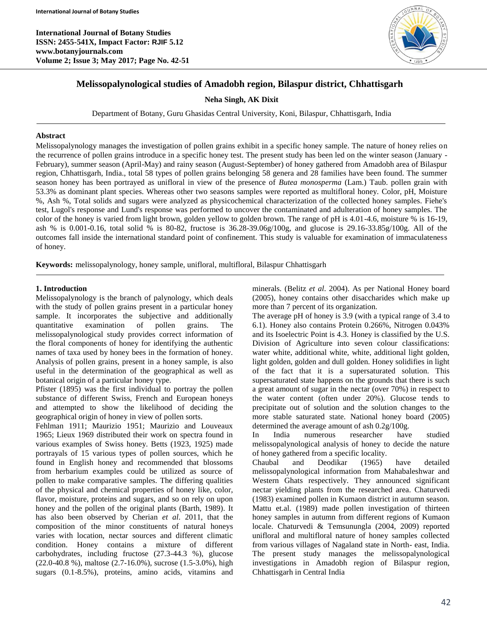**International Journal of Botany Studies ISSN: 2455-541X, Impact Factor: RJIF 5.12 www.botanyjournals.com Volume 2; Issue 3; May 2017; Page No. 42-51**



### **Melissopalynological studies of Amadobh region, Bilaspur district, Chhattisgarh**

**Neha Singh, AK Dixit**

Department of Botany, Guru Ghasidas Central University, Koni, Bilaspur, Chhattisgarh, India

#### **Abstract**

Melissopalynology manages the investigation of pollen grains exhibit in a specific honey sample. The nature of honey relies on the recurrence of pollen grains introduce in a specific honey test. The present study has been led on the winter season (January - February), summer season (April-May) and rainy season (August-September) of honey gathered from Amadobh area of Bilaspur region, Chhattisgarh, India., total 58 types of pollen grains belonging 58 genera and 28 families have been found. The summer season honey has been portrayed as unifloral in view of the presence of *Butea monosperma* (Lam.) Taub. pollen grain with 53.3% as dominant plant species. Whereas other two seasons samples were reported as multifloral honey. Color, pH, Moisture %, Ash %, Total solids and sugars were analyzed as physicochemical characterization of the collected honey samples. Fiehe's test, Lugol's response and Lund's response was performed to uncover the contaminated and adulteration of honey samples. The color of the honey is varied from light brown, golden yellow to golden brown. The range of pH is 4.01-4.6, moisture % is 16-19, ash % is 0.001-0.16, total solid % is 80-82, fructose is  $36.28{\text -}39.06g/100g$ , and glucose is  $29.16{\text -}33.85g/100g$ . All of the outcomes fall inside the international standard point of confinement. This study is valuable for examination of immaculateness of honey.

**Keywords:** melissopalynology, honey sample, unifloral, multifloral, Bilaspur Chhattisgarh

#### **1. Introduction**

Melissopalynology is the branch of palynology, which deals with the study of pollen grains present in a particular honey sample. It incorporates the subjective and additionally quantitative examination of pollen grains. The melissopalynological study provides correct information of the floral components of honey for identifying the authentic names of taxa used by honey bees in the formation of honey. Analysis of pollen grains, present in a honey sample, is also useful in the determination of the geographical as well as botanical origin of a particular honey type.

Pfister (1895) was the first individual to portray the pollen substance of different Swiss, French and European honeys and attempted to show the likelihood of deciding the geographical origin of honey in view of pollen sorts.

Fehlman 1911; Maurizio 1951; Maurizio and Louveaux 1965; Lieux 1969 distributed their work on spectra found in various examples of Swiss honey. Betts (1923, 1925) made portrayals of 15 various types of pollen sources, which he found in English honey and recommended that blossoms from herbarium examples could be utilized as source of pollen to make comparative samples. The differing qualities of the physical and chemical properties of honey like, color, flavor, moisture, proteins and sugars, and so on rely on upon honey and the pollen of the original plants (Barth, 1989). It has also been observed by Cherian *et al*. 2011, that the composition of the minor constituents of natural honeys varies with location, nectar sources and different climatic condition. Honey contains a mixture of different carbohydrates, including fructose (27.3-44.3 %), glucose (22.0-40.8 %), maltose (2.7-16.0%), sucrose (1.5-3.0%), high sugars (0.1-8.5%), proteins, amino acids, vitamins and

minerals. (Belitz *et al*. 2004). As per National Honey board (2005), honey contains other disaccharides which make up more than 7 percent of its organization.

The average pH of honey is 3.9 (with a typical range of 3.4 to 6.1). Honey also contains Protein 0.266%, Nitrogen 0.043% and its Isoelectric Point is 4.3. Honey is classified by the U.S. Division of Agriculture into seven colour classifications: water white, additional white, white, additional light golden, light golden, golden and dull golden. Honey solidifies in light of the fact that it is a supersaturated solution. This supersaturated state happens on the grounds that there is such a great amount of sugar in the nectar (over 70%) in respect to the water content (often under 20%). Glucose tends to precipitate out of solution and the solution changes to the more stable saturated state. National honey board (2005) determined the average amount of ash 0.2g/100g.

In India numerous researcher have studied melissopalynological analysis of honey to decide the nature of honey gathered from a specific locality.

Chaubal and Deodikar (1965) have detailed melissopalynological information from Mahabaleshwar and Western Ghats respectively. They announced significant nectar yielding plants from the researched area. Chaturvedi (1983) examined pollen in Kumaon district in autumn season. Mattu et.al. (1989) made pollen investigation of thirteen honey samples in autumn from different regions of Kumaon locale. Chaturvedi & Temsunungla (2004, 2009) reported unifloral and multifloral nature of honey samples collected from various villages of Nagaland state in North- east, India. The present study manages the melissopalynological investigations in Amadobh region of Bilaspur region, Chhattisgarh in Central India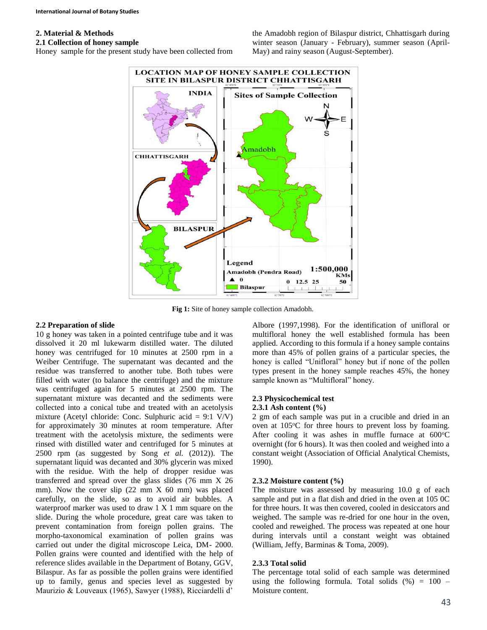# **2. Material & Methods**

### **2.1 Collection of honey sample**

Honey sample for the present study have been collected from

the Amadobh region of Bilaspur district, Chhattisgarh during winter season (January - February), summer season (April-May) and rainy season (August-September).



**Fig 1:** Site of honey sample collection Amadobh.

# **2.2 Preparation of slide**

10 g honey was taken in a pointed centrifuge tube and it was dissolved it 20 ml lukewarm distilled water. The diluted honey was centrifuged for 10 minutes at 2500 rpm in a Weiber Centrifuge. The supernatant was decanted and the residue was transferred to another tube. Both tubes were filled with water (to balance the centrifuge) and the mixture was centrifuged again for 5 minutes at 2500 rpm. The supernatant mixture was decanted and the sediments were collected into a conical tube and treated with an acetolysis mixture (Acetyl chloride: Conc. Sulphuric acid =  $9:1$  V/V) for approximately 30 minutes at room temperature. After treatment with the acetolysis mixture, the sediments were rinsed with distilled water and centrifuged for 5 minutes at 2500 rpm (as suggested by Song *et al.* (2012)). The supernatant liquid was decanted and 30% glycerin was mixed with the residue. With the help of dropper residue was transferred and spread over the glass slides (76 mm X 26 mm). Now the cover slip  $(22 \, \text{mm} \times 60 \, \text{mm})$  was placed carefully, on the slide, so as to avoid air bubbles. A waterproof marker was used to draw 1 X 1 mm square on the slide. During the whole procedure, great care was taken to prevent contamination from foreign pollen grains. The morpho-taxonomical examination of pollen grains was carried out under the digital microscope Leica, DM- 2000. Pollen grains were counted and identified with the help of reference slides available in the Department of Botany, GGV, Bilaspur. As far as possible the pollen grains were identified up to family, genus and species level as suggested by Maurizio & Louveaux (1965), Sawyer (1988), Ricciardelli d'

Albore (1997,1998). For the identification of unifloral or multifloral honey the well established formula has been applied. According to this formula if a honey sample contains more than 45% of pollen grains of a particular species, the honey is called "Unifloral" honey but if none of the pollen types present in the honey sample reaches 45%, the honey sample known as "Multifloral" honey.

### **2.3 Physicochemical test**

#### **2.3.1 Ash content (%)**

2 gm of each sample was put in a crucible and dried in an oven at  $105^{\circ}$ C for three hours to prevent loss by foaming. After cooling it was ashes in muffle furnace at  $600^{\circ}$ C overnight (for 6 hours). It was then cooled and weighed into a constant weight (Association of Official Analytical Chemists, 1990).

### **2.3.2 Moisture content (%)**

The moisture was assessed by measuring 10.0 g of each sample and put in a flat dish and dried in the oven at 105 0C for three hours. It was then covered, cooled in desiccators and weighed. The sample was re-dried for one hour in the oven, cooled and reweighed. The process was repeated at one hour during intervals until a constant weight was obtained (William, Jeffy, Barminas & Toma, 2009).

### **2.3.3 Total solid**

The percentage total solid of each sample was determined using the following formula. Total solids  $(\%) = 100 -$ Moisture content.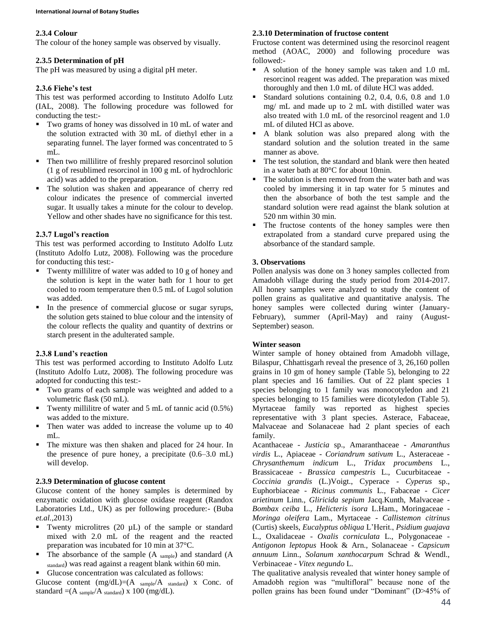#### **2.3.4 Colour**

The colour of the honey sample was observed by visually.

# **2.3.5 Determination of pH**

The pH was measured by using a digital pH meter.

# **2.3.6 Fiehe's test**

This test was performed according to Instituto Adolfo Lutz (IAL, 2008). The following procedure was followed for conducting the test:-

- Two grams of honey was dissolved in 10 mL of water and the solution extracted with 30 mL of diethyl ether in a separating funnel. The layer formed was concentrated to 5 mL.
- Then two millilitre of freshly prepared resorcinol solution (1 g of resublimed resorcinol in 100 g mL of hydrochloric acid) was added to the preparation.
- The solution was shaken and appearance of cherry red colour indicates the presence of commercial inverted sugar. It usually takes a minute for the colour to develop. Yellow and other shades have no significance for this test.

# **2.3.7 Lugol's reaction**

This test was performed according to Instituto Adolfo Lutz (Instituto Adolfo Lutz, 2008). Following was the procedure for conducting this test:-

- Twenty millilitre of water was added to 10 g of honey and the solution is kept in the water bath for 1 hour to get cooled to room temperature then 0.5 mL of Lugol solution was added.
- In the presence of commercial glucose or sugar syrups, the solution gets stained to blue colour and the intensity of the colour reflects the quality and quantity of dextrins or starch present in the adulterated sample.

# **2.3.8 Lund's reaction**

This test was performed according to Instituto Adolfo Lutz (Instituto Adolfo Lutz, 2008). The following procedure was adopted for conducting this test:-

- Two grams of each sample was weighted and added to a volumetric flask (50 mL).
- Twenty millilitre of water and  $5 \text{ mL of }$  tannic acid (0.5%) was added to the mixture.
- Then water was added to increase the volume up to 40 mL.
- The mixture was then shaken and placed for 24 hour. In the presence of pure honey, a precipitate  $(0.6-3.0 \text{ mL})$ will develop.

# **2.3.9 Determination of glucose content**

Glucose content of the honey samples is determined by enzymatic oxidation with glucose oxidase reagent (Randox Laboratories Ltd., UK) as per following procedure:- (Buba *et.al.*,2013)

- Twenty microlitres (20  $\mu$ L) of the sample or standard mixed with 2.0 mL of the reagent and the reacted preparation was incubated for 10 min at 37°C.
- $\blacksquare$  The absorbance of the sample (A sample) and standard (A standard) was read against a reagent blank within 60 min.
- Glucose concentration was calculated as follows:

Glucose content  $(mg/dL)=(A_{sample}/A_{standard})$  x Conc. of standard  $=(A_{sample}/A_{standard}) \times 100$  (mg/dL).

# **2.3.10 Determination of fructose content**

Fructose content was determined using the resorcinol reagent method (AOAC, 2000) and following procedure was followed:-

- A solution of the honey sample was taken and 1.0 mL resorcinol reagent was added. The preparation was mixed thoroughly and then 1.0 mL of dilute HCl was added.
- Standard solutions containing 0.2, 0.4, 0.6, 0.8 and 1.0 mg/ mL and made up to 2 mL with distilled water was also treated with 1.0 mL of the resorcinol reagent and 1.0 mL of diluted HCl as above.
- A blank solution was also prepared along with the standard solution and the solution treated in the same manner as above.
- The test solution, the standard and blank were then heated in a water bath at 80°C for about 10min.
- The solution is then removed from the water bath and was cooled by immersing it in tap water for 5 minutes and then the absorbance of both the test sample and the standard solution were read against the blank solution at 520 nm within 30 min.
- The fructose contents of the honey samples were then extrapolated from a standard curve prepared using the absorbance of the standard sample.

# **3. Observations**

Pollen analysis was done on 3 honey samples collected from Amadobh village during the study period from 2014-2017. All honey samples were analyzed to study the content of pollen grains as qualitative and quantitative analysis. The honey samples were collected during winter (January-February), summer (April-May) and rainy (August-September) season.

### **Winter season**

Winter sample of honey obtained from Amadobh village, Bilaspur, Chhattisgarh reveal the presence of 3, 26,160 pollen grains in 10 gm of honey sample (Table 5), belonging to 22 plant species and 16 families. Out of 22 plant species 1 species belonging to 1 family was monocotyledon and 21 species belonging to 15 families were dicotyledon (Table 5). Myrtaceae family was reported as highest species representative with 3 plant species. Asterace, Fabaceae, Malvaceae and Solanaceae had 2 plant species of each family.

Acanthaceae - *Justicia* sp., Amaranthaceae - *Amaranthus virdis* L., Apiaceae - *Coriandrum sativum* L., Asteraceae - *Chrysanthemum indicum* L., *Tridax procumbens* L., Brassicaceae - *Brassica campestris* L., Cucurbitaceae - *Coccinia grandis* (L.)Voigt., Cyperace - *Cyperus* sp., Euphorbiaceae - *Ricinus communis* L., Fabaceae - *Cicer arietinum* Linn., *Gliricida sepium* Jacq.Kunth, Malvaceae - *Bombax ceiba* L., *Helicteris isora* L.Ham., Moringaceae - *Moringa oleifera* Lam., Myrtaceae - *Callistemon citrinus* (Curtis) skeels, *Eucalyptus obliqua* L'Herit., *Psidium guajava* L., Oxalidaceae - *Oxalis corniculata* L., Polygonaceae - *Antigonon leptopus* Hook & Arn., Solanaceae - *Capsicum annuum* Linn., *Solanum xanthocarpum* Schrad & Wendl., Verbinaceae - *Vitex negundo* L.

The qualitative analysis revealed that winter honey sample of Amadobh region was "multifloral" because none of the pollen grains has been found under "Dominant" (D>45% of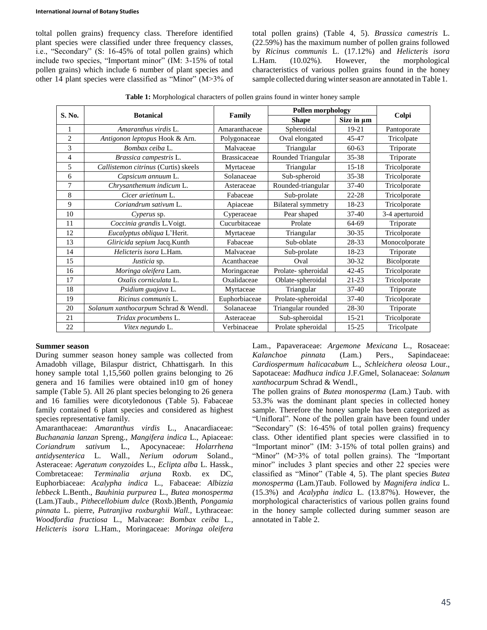toltal pollen grains) frequency class. Therefore identified plant species were classified under three frequency classes, i.e., "Secondary" (S: 16-45% of total pollen grains) which include two species, "Important minor" (IM: 3-15% of total pollen grains) which include 6 number of plant species and other 14 plant species were classified as "Minor" (M>3% of

total pollen grains) (Table 4, 5). *Brassica camestris* L. (22.59%) has the maximum number of pollen grains followed by *Ricinus communis* L. (17.12%) and *Helicteris isora* L.Ham. (10.02%). However, the morphological characteristics of various pollen grains found in the honey sample collected during winter season are annotated in Table 1.

| S. No.         | <b>Botanical</b>                     |                     | <b>Pollen morphology</b>  |            |                |
|----------------|--------------------------------------|---------------------|---------------------------|------------|----------------|
|                |                                      | Family              | <b>Shape</b>              | Size in µm | Colpi          |
|                | Amaranthus virdis L.                 | Amaranthaceae       | Spheroidal                | 19-21      | Pantoporate    |
| $\overline{c}$ | Antigonon leptopus Hook & Arn.       | Polygonaceae        | Oval elongated            | 45-47      | Tricolpate     |
| 3              | Bombax ceiba L.                      | Malvaceae           | Triangular                | $60 - 63$  | Triporate      |
| $\overline{4}$ | Brassica campestris L.               | <b>Brassicaceae</b> | Rounded Triangular        | 35-38      | Triporate      |
| 5              | Callistemon citrinus (Curtis) skeels | Myrtaceae           | Triangular                | $15 - 18$  | Tricolporate   |
| 6              | Capsicum annuum L.                   | Solanaceae          | Sub-spheroid              | $35 - 38$  | Tricolporate   |
| $\tau$         | Chrysanthemum indicum L.             | Asteraceae          | Rounded-triangular        | 37-40      | Tricolporate   |
| 8              | Cicer arietinum L.                   | Fabaceae            | Sub-prolate               | $22 - 28$  | Tricolporate   |
| 9              | Coriandrum sativum L.                | Apiaceae            | <b>Bilateral symmetry</b> | 18-23      | Tricolporate   |
| 10             | Cyperus sp.                          | Cyperaceae          | Pear shaped               | $37 - 40$  | 3-4 aperturoid |
| 11             | Coccinia grandis L.Voigt.            | Cucurbitaceae       | Prolate                   | 64-69      | Triporate      |
| 12             | Eucalyptus obliqua L'Herit.          | Myrtaceae           | Triangular                | $30 - 35$  | Tricolporate   |
| 13             | Gliricida sepium Jacq.Kunth          | Fabaceae            | Sub-oblate                | 28-33      | Monocolporate  |
| 14             | Helicteris isora L.Ham.              | Malvaceae           | Sub-prolate               | 18-23      | Triporate      |
| 15             | Justicia sp.                         | Acanthaceae         | Oval                      | 30-32      | Bicolporate    |
| 16             | Moringa oleifera Lam.                | Moringaceae         | Prolate-spheroidal        | $42 - 45$  | Tricolporate   |
| 17             | Oxalis corniculata L.                | Oxalidaceae         | Oblate-spheroidal         | 21-23      | Tricolporate   |
| 18             | Psidium guajava L.                   | Myrtaceae           | Triangular                | $37-40$    | Triporate      |
| 19             | Ricinus communis L.                  | Euphorbiaceae       | Prolate-spheroidal        | $37 - 40$  | Tricolporate   |
| 20             | Solanum xanthocarpum Schrad & Wendl. | Solanaceae          | Triangular rounded        | 28-30      | Triporate      |
| 21             | Tridax procumbens L.                 | Asteraceae          | Sub-spheroidal            | $15 - 21$  | Tricolporate   |
| 22             | Vitex negundo L.                     | Verbinaceae         | Prolate spheroidal        | $15 - 25$  | Tricolpate     |

**Table 1:** Morphological characters of pollen grains found in winter honey sample

#### **Summer season**

During summer season honey sample was collected from Amadobh village, Bilaspur district, Chhattisgarh. In this honey sample total 1,15,560 pollen grains belonging to 26 genera and 16 families were obtained in10 gm of honey sample (Table 5). All 26 plant species belonging to 26 genera and 16 families were dicotyledonous (Table 5). Fabaceae family contained 6 plant species and considered as highest species representative family.

Amaranthaceae: *Amaranthus virdis* L., Anacardiaceae: *Buchanania lanzan* Spreng., *Mangifera indica* L., Apiaceae: *Coriandrum sativum* L., Apocynaceae: *Holarrhena antidysenterica* L. Wall., *Nerium odorum* Soland., Asteraceae: *Ageratum conyzoides* L., *Eclipta alba* L. Hassk., Combretaceae: *Terminalia arjuna* Roxb. ex DC, Euphorbiaceae: *Acalypha indica* L., Fabaceae: *Albizzia lebbeck* L.Benth., *Bauhinia purpurea* L., *Butea monosperma* (Lam.)Taub., *Pithecellobium dulce* (Roxb.)Benth, *Pongamia pinnata* L. pierre, *Putranjiva roxburghii Wall.,* Lythraceae: *Woodfordia fructiosa* L., Malvaceae: *Bombax ceiba* L*., Helicteris isora* L.Ham., Moringaceae: *Moringa oleifera*

Lam., Papaveraceae: *Argemone Mexicana* L., Rosaceae: *Kalanchoe pinnata* (Lam.) Pers., Sapindaceae: *Cardiospermum halicacabum* L., *Schleichera oleosa* Lour., Sapotaceae: *Madhuca indica* J.F.Gmel, Solanaceae: *Solanum xanthocarpum* Schrad & Wendl.,

The pollen grains of *Butea monosperma* (Lam.) Taub. with 53.3% was the dominant plant species in collected honey sample. Therefore the honey sample has been categorized as "Unifloral". None of the pollen grain have been found under "Secondary" (S: 16-45% of total pollen grains) frequency class. Other identified plant species were classified in to "Important minor" (IM: 3-15% of total pollen grains) and "Minor" (M>3% of total pollen grains). The "Important minor" includes 3 plant species and other 22 species were classified as "Minor" (Table 4, 5). The plant species *Butea monosperma* (Lam.)Taub. Followed by *Magnifera indica* L. (15.3%) and *Acalypha indica* L. (13.87%). However, the morphological characteristics of various pollen grains found in the honey sample collected during summer season are annotated in Table 2.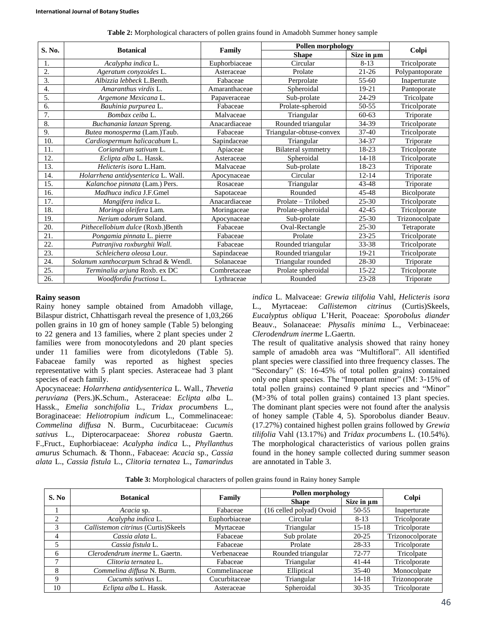|                  |                                      |               | <b>Pollen morphology</b>  |                 |                 |
|------------------|--------------------------------------|---------------|---------------------------|-----------------|-----------------|
| S. No.           | <b>Botanical</b>                     | Family        | <b>Shape</b>              | Size in $\mu$ m | Colpi           |
| 1.               | Acalypha indica L.                   | Euphorbiaceae | Circular                  | $8 - 13$        | Tricolporate    |
| 2.               | Ageratum conyzoides L.               | Asteraceae    | Prolate                   | $21 - 26$       | Polypantoporate |
| 3.               | Albizzia lebbeck L.Benth.            | Fabaceae      | Perprolate                | $55-60$         | Inaperturate    |
| $\overline{4}$ . | Amaranthus virdis L.                 | Amaranthaceae | Spheroidal                | $19 - 21$       | Pantoporate     |
| 5.               | Argemone Mexicana L.                 | Papaveraceae  | Sub-prolate               | 24-29           | Tricolpate      |
| 6.               | Bauhinia purpurea L.                 | Fabaceae      | Prolate-spheroid          | 50-55           | Tricolporate    |
| 7.               | Bombax ceiba L.                      | Malvaceae     | Triangular                | $60 - 63$       | Triporate       |
| 8.               | Buchanania lanzan Spreng.            | Anacardiaceae | Rounded triangular        | 34-39           | Tricolporate    |
| 9.               | Butea monosperma (Lam.)Taub.         | Fabaceae      | Triangular-obtuse-convex  | $37 - 40$       | Tricolporate    |
| 10.              | Cardiospermum halicacabum L.         | Sapindaceae   | Triangular                | 34-37           | Triporate       |
| 11.              | Coriandrum sativum L.                | Apiaceae      | <b>Bilateral</b> symmetry | 18-23           | Tricolporate    |
| 12.              | Eclipta alba L. Hassk.               | Asteraceae    | Spheroidal                | $14 - 18$       | Tricolporate    |
| 13.              | Helicteris isora L.Ham.              | Malvaceae     | Sub-prolate               | 18-23           | Triporate       |
| 14.              | Holarrhena antidysenterica L. Wall.  | Apocynaceae   | Circular                  | $12 - 14$       | Triporate       |
| 15.              | Kalanchoe pinnata (Lam.) Pers.       | Rosaceae      | Triangular                | 43-48           | Triporate       |
| 16.              | Madhuca indica J.F.Gmel              | Sapotaceae    | Rounded                   | 45-48           | Bicolporate     |
| 17.              | Mangifera indica L.                  | Anacardiaceae | Prolate - Trilobed        | $25 - 30$       | Tricolporate    |
| 18.              | Moringa oleifera Lam.                | Moringaceae   | Prolate-spheroidal        | $42 - 45$       | Tricolporate    |
| 19.              | Nerium odorum Soland.                | Apocynaceae   | Sub-prolate               | $25 - 30$       | Trizonocolpate  |
| 20.              | Pithecellobium dulce (Roxb.)Benth    | Fabaceae      | Oval-Rectangle            | $25 - 30$       | Tetraporate     |
| 21.              | Pongamia pinnata L. pierre           | Fabaceae      | Prolate                   | $23 - 25$       | Tricolporate    |
| 22.              | Putranjiva roxburghii Wall.          | Fabaceae      | Rounded triangular        | 33-38           | Tricolporate    |
| 23.              | Schleichera oleosa Lour.             | Sapindaceae   | Rounded triangular        | 19-21           | Tricolporate    |
| 24.              | Solanum xanthocarpum Schrad & Wendl. | Solanaceae    | Triangular rounded        | 28-30           | Triporate       |
| 25.              | Terminalia arjuna Roxb. ex DC        | Combretaceae  | Prolate spheroidal        | $15-22$         | Tricolporate    |
| 26.              | Woodfordia fructiosa L.              | Lythraceae    | Rounded                   | $23 - 28$       | Triporate       |

**Table 2:** Morphological characters of pollen grains found in Amadobh Summer honey sample

#### **Rainy season**

Rainy honey sample obtained from Amadobh village, Bilaspur district, Chhattisgarh reveal the presence of 1,03,266 pollen grains in 10 gm of honey sample (Table 5) belonging to 22 genera and 13 families, where 2 plant species under 2 families were from monocotyledons and 20 plant species under 11 families were from dicotyledons (Table 5). Fabaceae family was reported as highest species representative with 5 plant species. Asteraceae had 3 plant species of each family.

Apocynaceae: *Holarrhena antidysenterica* L. Wall., *Thevetia peruviana* (Pers.)K.Schum., Asteraceae: *Eclipta alba* L. Hassk., *Emelia sonchifolia* L., *Tridax procumbens* L., Boraginaceae: *Heliotropium indicum* L., Commelinaceae: *Commelina diffusa* N. Burm., Cucurbitaceae: *Cucumis sativus* L., Dipterocarpaceae: *Shorea robusta* Gaertn. F.,Fruct., Euphorbiaceae: *Acalypha indica* L., *Phyllanthus amurus* Schumach. & Thonn., Fabaceae: *Acacia* sp., *Cassia alata* L., *Cassia fistula* L., *Clitoria ternatea* L., *Tamarindus* 

*indica* L. Malvaceae: *Grewia tilifolia* Vahl, *Helicteris isora* L., Myrtaceae: *Callistemon citrinus* (Curtis)Skeels, *Eucalyptus obliqua* L'Herit, Poaceae: *Sporobolus diander* Beauv., Solanaceae: *Physalis minima* L., Verbinaceae: *Clerodendrum inerme* L.Gaertn.

The result of qualitative analysis showed that rainy honey sample of amadobh area was "Multifloral". All identified plant species were classified into three frequency classes. The "Secondary" (S: 16-45% of total pollen grains) contained only one plant species. The "Important minor" (IM: 3-15% of total pollen grains) contained 9 plant species and "Minor" (M>3% of total pollen grains) contained 13 plant species. The dominant plant species were not found after the analysis of honey sample (Table 4, 5). Sporobolus diander Beauv. (17.27%) contained highest pollen grains followed by *Grewia tilifolia* Vahl (13.17%) and *Tridax procumbens* L. (10.54%). The morphological characteristics of various pollen grains found in the honey sample collected during summer season are annotated in Table 3.

**Table 3:** Morphological characters of pollen grains found in Rainy honey Sample

| S. No                       | <b>Botanical</b>                    |               | <b>Pollen morphology</b> |                 |                  |
|-----------------------------|-------------------------------------|---------------|--------------------------|-----------------|------------------|
|                             |                                     | Family        | <b>Shape</b>             | Size in $\mu$ m | Colpi            |
|                             | Acacia sp.                          | Fabaceae      | (16 celled polyad) Ovoid | 50-55           | Inaperturate     |
| $\mathcal{D}_{\mathcal{L}}$ | Acalypha indica L.                  | Euphorbiaceae | Circular                 | $8-13$          | Tricolporate     |
| 3                           | Callistemon citrinus (Curtis)Skeels | Myrtaceae     | Triangular               | 15-18           | Tricolporate     |
| 4                           | Cassia alata L.                     | Fabaceae      | Sub prolate              | $20 - 25$       | Trizonocolporate |
| 5                           | Cassia fistula L.                   | Fabaceae      | Prolate                  | 28-33           | Tricolporate     |
| 6                           | Clerodendrum inerme L. Gaertn.      | Verbenaceae   | Rounded triangular       | $72 - 77$       | Tricolpate       |
|                             | Clitoria ternatea L.                | Fabaceae      | Triangular               | 41-44           | Tricolporate     |
| 8                           | Commelina diffusa N. Burm.          | Commelinaceae | Elliptical               | $35-40$         | Monocolpate      |
| 9                           | Cucumis sativus L.                  | Cucurbitaceae | Triangular               | 14-18           | Trizonoporate    |
| 10                          | Eclipta alba L. Hassk.              | Asteraceae    | Spheroidal               | $30 - 35$       | Tricolporate     |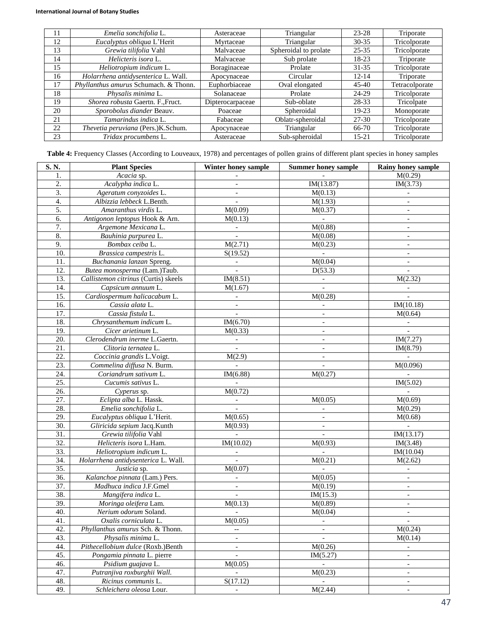| 11 | Emelia sonchifolia L.                 | Asteraceae       | Triangular            | 23-28     | Triporate      |
|----|---------------------------------------|------------------|-----------------------|-----------|----------------|
| 12 | Eucalyptus obliqua L'Herit            | Myrtaceae        | Triangular            | $30 - 35$ | Tricolporate   |
| 13 | Grewia tilifolia Vahl                 | Malvaceae        | Spheroidal to prolate | $25 - 35$ | Tricolporate   |
| 14 | Helicteris isora L.                   | Malvaceae        | Sub prolate           | 18-23     | Triporate      |
| 15 | Heliotropium indicum L.               | Boraginaceae     | Prolate               | $31 - 35$ | Tricolporate   |
| 16 | Holarrhena antidysenterica L. Wall.   | Apocynaceae      | Circular              | $12 - 14$ | Triporate      |
| 17 | Phyllanthus amurus Schumach. & Thonn. | Euphorbiaceae    | Oval elongated        | $45 - 40$ | Tetracolporate |
| 18 | Physalis minima L.                    | Solanaceae       | Prolate               | 24-29     | Tricolporate   |
| 19 | Shorea robusta Gaertn. F., Fruct.     | Dipterocarpaceae | Sub-oblate            | 28-33     | Tricolpate     |
| 20 | Sporobolus diander Beauv.             | Poaceae          | Spheroidal            | $19 - 23$ | Monoporate     |
| 21 | Tamarindus indica L.                  | Fabaceae         | Oblatr-spheroidal     | $27 - 30$ | Tricolporate   |
| 22 | Thevetia peruviana (Pers.)K.Schum.    | Apocynaceae      | Triangular            | $66-70$   | Tricolporate   |
| 23 | Tridax procumbens L.                  | Asteraceae       | Sub-spheroidal        | $15 - 21$ | Tricolporate   |

**Table 4:** Frequency Classes (According to Louveaux, 1978) and percentages of pollen grains of different plant species in honey samples

| S.N.              | <b>Plant Species</b>                 | Winter honey sample          | <b>Summer honey sample</b> | <b>Rainy honey sample</b> |
|-------------------|--------------------------------------|------------------------------|----------------------------|---------------------------|
| 1.                | Acacia sp.                           |                              |                            | M(0.29)                   |
| $\overline{2}$ .  | Acalypha indica L.                   | $\overline{\phantom{a}}$     | IM(13.87)                  | IM(3.73)                  |
| 3.                | Ageratum conyzoides L.               | $\overline{\phantom{a}}$     | M(0.13)                    | $\overline{\phantom{a}}$  |
| 4.                | Albizzia lebbeck L.Benth.            |                              | M(1.93)                    | $\overline{\phantom{a}}$  |
| $\overline{5}$ .  | Amaranthus virdis L.                 | M(0.09)                      | M(0.37)                    | $\overline{\phantom{a}}$  |
| 6.                | Antigonon leptopus Hook & Arn.       | M(0.13)                      | $\overline{\phantom{a}}$   | $\overline{\phantom{a}}$  |
| $\overline{7}$ .  | Argemone Mexicana L.                 | $\Box$                       | M(0.88)                    | $\blacksquare$            |
| 8.                | Bauhinia purpurea L.                 | $\overline{\phantom{a}}$     | M(0.08)                    | $\overline{\phantom{a}}$  |
| 9.                | Bombax ceiba L.                      | M(2.71)                      | M(0.23)                    | $\overline{\phantom{a}}$  |
| 10.               | Brassica campestris L.               | S(19.52)                     | $\equiv$                   | $\overline{\phantom{a}}$  |
| 11.               | Buchanania lanzan Spreng.            | $\blacksquare$               | M(0.04)                    | $\overline{\phantom{a}}$  |
| 12.               | Butea monosperma (Lam.)Taub.         | $\overline{a}$               | D(53.3)                    | $\overline{a}$            |
| 13.               | Callistemon citrinus (Curtis) skeels | IM(8.51)                     | $\blacksquare$             | M(2.32)                   |
| 14.               | Capsicum annuum L.                   | M(1.67)                      |                            |                           |
| 15.               | Cardiospermum halicacabum L.         | $\overline{\phantom{a}}$     | M(0.28)                    | $\overline{\phantom{a}}$  |
| 16.               | Cassia alata L.                      | $\blacksquare$               |                            | IM(10.18)                 |
| $\overline{17}$ . | Cassia fistula L.                    | $\overline{\phantom{a}}$     |                            | M(0.64)                   |
| 18.               | Chrysanthemum indicum L.             | IM(6.70)                     | $\blacksquare$             | $\blacksquare$            |
| 19.               | Cicer arietinum L.                   | M(0.33)                      | $\overline{\phantom{a}}$   |                           |
| 20.               | Clerodendrum inerme L.Gaertn.        | $\overline{\phantom{a}}$     | $\blacksquare$             | IM(7.27)                  |
| 21.               | Clitoria ternatea L.                 | $\overline{\phantom{a}}$     | $\overline{\phantom{a}}$   | IM(8.79)                  |
| 22.               | Coccinia grandis L.Voigt.            | M(2.9)                       | $\blacksquare$             |                           |
| 23.               | Commelina diffusa N. Burm.           | $\frac{1}{2}$                | $\overline{\phantom{a}}$   | M(0.096)                  |
| 24.               | Coriandrum sativum L.                | IM(6.88)                     | M(0.27)                    |                           |
| 25.               | Cucumis sativus L.                   | $\overline{\phantom{a}}$     |                            | IM(5.02)                  |
| 26.               | Cyperus sp.                          | M(0.72)                      |                            | $\blacksquare$            |
| 27.               | Eclipta alba L. Hassk.               |                              | M(0.05)                    | M(0.69)                   |
| 28.               | Emelia sonchifolia L.                | $\bar{\mathcal{L}}$          | $\Box$                     | M(0.29)                   |
| 29.               | Eucalyptus obliqua L'Herit.          | M(0.65)                      | $\overline{\phantom{a}}$   | M(0.68)                   |
| $\overline{30}$ . | Gliricida sepium Jacq.Kunth          | M(0.93)                      | $\overline{\phantom{a}}$   | $\equiv$                  |
| $\overline{31}$ . | Grewia tilifolia Vahl                | $\mathbb{L}$                 | $\blacksquare$             | IM(13.17)                 |
| 32.               | Helicteris isora L.Ham.              | IM(10.02)                    | M(0.93)                    | IM(3.48)                  |
| 33.               | Heliotropium indicum L.              | $\blacksquare$               | $\equiv$                   | IM(10.04)                 |
| 34.               | Holarrhena antidysenterica L. Wall.  | $\overline{\phantom{a}}$     | M(0.21)                    | M(2.62)                   |
| 35.               | Justicia sp.                         | M(0.07)                      |                            | $\overline{\phantom{a}}$  |
| 36.               | Kalanchoe pinnata (Lam.) Pers.       | $\overline{\phantom{a}}$     | $\overline{M}(0.05)$       | $\overline{\phantom{a}}$  |
| 37.               | Madhuca indica J.F.Gmel              | $\qquad \qquad \blacksquare$ | M(0.19)                    | $\overline{\phantom{a}}$  |
| 38.               | Mangifera indica L.                  | $\overline{\phantom{a}}$     | IM(15.3)                   | $\equiv$                  |
| 39.               | Moringa oleifera Lam.                | M(0.13)                      | M(0.89)                    | $\overline{\phantom{a}}$  |
| 40.               | Nerium odorum Soland.                |                              | M(0.04)                    | $\overline{\phantom{a}}$  |
| 41.               | Oxalis corniculata L.                | M(0.05)                      |                            |                           |
| 42.               | Phyllanthus amurus Sch. & Thonn.     | $\overline{\phantom{a}}$     |                            | M(0.24)                   |
| 43.               | Physalis minima L.                   |                              |                            | M(0.14)                   |
| 44.               | Pithecellobium dulce (Roxb.)Benth    | $\overline{\phantom{a}}$     | M(0.26)                    | $\blacksquare$            |
| 45.               | Pongamia pinnata L. pierre           |                              | IM(5.27)                   | $\overline{\phantom{a}}$  |
| 46.               | Psidium guajava L.                   | $\overline{M(0.05)}$         | $\sim$                     | $\overline{\phantom{a}}$  |
| 47.               | Putranjiva roxburghii Wall.          | $\overline{\phantom{a}}$     | M(0.23)                    | $\overline{\phantom{a}}$  |
| 48.               | Ricinus communis L.                  | S(17.12)                     |                            |                           |
| 49.               | Schleichera oleosa Lour.             | $\overline{\phantom{a}}$     | M(2.44)                    | $\overline{\phantom{a}}$  |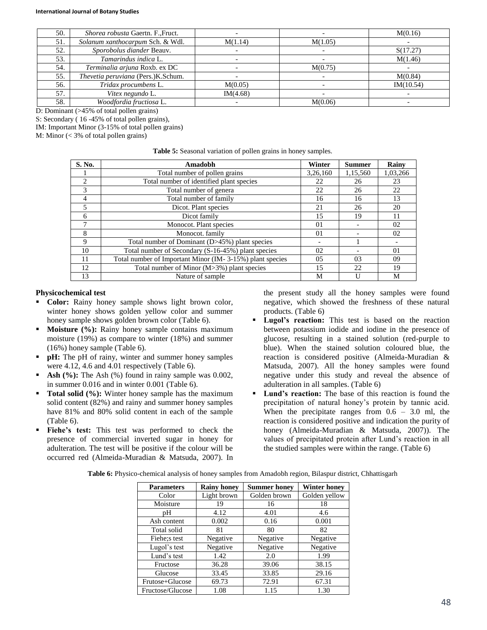| 50. | Shorea robusta Gaertn. F., Fruct.  |          |         | M(0.16)   |
|-----|------------------------------------|----------|---------|-----------|
| 51. | Solanum xanthocarpum Sch. & Wdl.   | M(1.14)  | M(1.05) |           |
| 52. | Sporobolus diander Beauv.          |          |         | S(17.27)  |
| 53. | Tamarindus indica L.               |          |         | M(1.46)   |
| 54. | Terminalia arjuna Roxb. ex DC      |          | M(0.75) |           |
| 55. | Thevetia peruviana (Pers.)K.Schum. |          |         | M(0.84)   |
| 56. | Tridax procumbens L.               | M(0.05)  |         | IM(10.54) |
| 57. | Vitex negundo L.                   | IM(4.68) |         |           |
| 58. | Woodfordia fructiosa L.            |          | M(0.06) |           |

D: Dominant (>45% of total pollen grains)

S: Secondary ( 16 -45% of total pollen grains), IM: Important Minor (3-15% of total pollen grains)

M: Minor (< 3% of total pollen grains)

| <b>Table 5:</b> Seasonal variation of pollen grains in honey samples. |  |  |
|-----------------------------------------------------------------------|--|--|

| S. No.                      | Amadobh                                                  | Winter         | <b>Summer</b> | Rainy    |
|-----------------------------|----------------------------------------------------------|----------------|---------------|----------|
|                             | Total number of pollen grains                            | 3,26,160       | 1,15,560      | 1,03,266 |
| $\mathcal{D}_{\mathcal{L}}$ | Total number of identified plant species                 | 22             | 26            | 23       |
| $\mathcal{R}$               | Total number of genera                                   | 22             | 26            | 22       |
| 4                           | Total number of family                                   | 16             | 16            | 13       |
|                             | Dicot. Plant species                                     | 21             | 26            | 20       |
| 6                           | Dicot family                                             | 15             | 19            | 11       |
|                             | Monocot. Plant species                                   | 01             |               | 02       |
| 8                           | Monocot. family                                          | 0 <sub>1</sub> |               | 02       |
| 9                           | Total number of Dominant (D>45%) plant species           |                |               |          |
| 10                          | Total number of Secondary (S-16-45%) plant species       | 02             |               | 01       |
| 11                          | Total number of Important Minor (IM-3-15%) plant species | 05             | 03            | 09       |
| 12                          | Total number of Minor (M>3%) plant species               | 15             | 22            | 19       |
| 13                          | Nature of sample                                         | М              |               | M        |

#### **Physicochemical test**

- **Color:** Rainy honey sample shows light brown color, winter honey shows golden yellow color and summer honey sample shows golden brown color (Table 6).
- **Moisture (%):** Rainy honey sample contains maximum moisture (19%) as compare to winter (18%) and summer (16%) honey sample (Table 6).
- **pH:** The pH of rainy, winter and summer honey samples were 4.12, 4.6 and 4.01 respectively (Table 6).
- **Ash (%):** The Ash (%) found in rainy sample was 0.002, in summer 0.016 and in winter 0.001 (Table 6).
- **Total solid (%):** Winter honey sample has the maximum solid content (82%) and rainy and summer honey samples have 81% and 80% solid content in each of the sample (Table 6).
- **Fiehe's test:** This test was performed to check the presence of commercial inverted sugar in honey for adulteration. The test will be positive if the colour will be occurred red (Almeida-Muradian & Matsuda, 2007). In

the present study all the honey samples were found negative, which showed the freshness of these natural products. (Table 6)

- **Lugol's reaction:** This test is based on the reaction between potassium iodide and iodine in the presence of glucose, resulting in a stained solution (red-purple to blue). When the stained solution coloured blue, the reaction is considered positive (Almeida-Muradian & Matsuda, 2007). All the honey samples were found negative under this study and reveal the absence of adulteration in all samples. (Table 6)
- **Lund's reaction:** The base of this reaction is found the precipitation of natural honey's protein by tannic acid. When the precipitate ranges from  $0.6 - 3.0$  ml, the reaction is considered positive and indication the purity of honey (Almeida-Muradian & Matsuda, 2007)). The values of precipitated protein after Lund's reaction in all the studied samples were within the range. (Table 6)

| <b>Parameters</b> | <b>Rainy honey</b> | <b>Summer honey</b> | <b>Winter honey</b> |
|-------------------|--------------------|---------------------|---------------------|
| Color             | Light brown        | Golden brown        | Golden yellow       |
| Moisture          | 19                 | 16                  | 18                  |
| pН                | 4.12               | 4.01                | 4.6                 |
| Ash content       | 0.002              | 0.16                | 0.001               |
| Total solid       | 81                 | 80                  | 82                  |
| Fiehe; stest      | Negative           | Negative            | Negative            |
| Lugol's test      | Negative           | Negative            | Negative            |
| Lund's test       | 1.42               | 2.0                 | 1.99                |
| Fructose          | 36.28              | 39.06               | 38.15               |
| Glucose           | 33.45              | 33.85               | 29.16               |
| Frutose+Glucose   | 69.73              | 72.91               | 67.31               |
| Fructose/Glucose  | 1.08               | 1.15                | 1.30                |

**Table 6:** Physico-chemical analysis of honey samples from Amadobh region, Bilaspur district, Chhattisgarh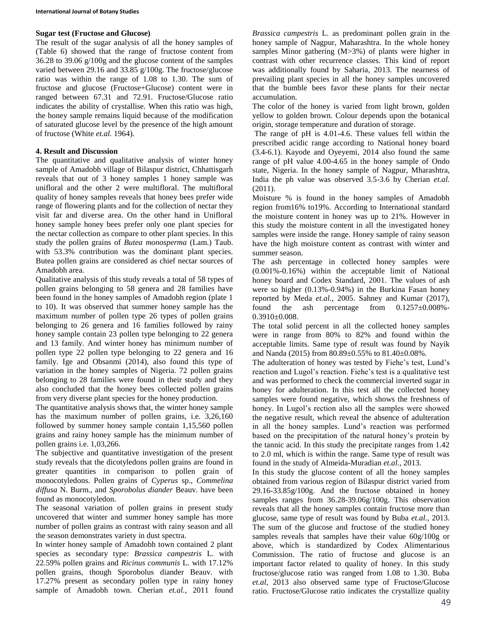### **Sugar test (Fructose and Glucose)**

The result of the sugar analysis of all the honey samples of (Table 6) showed that the range of fructose content from 36.28 to 39.06 g/100g and the glucose content of the samples varied between 29.16 and 33.85 g/100g. The fructose/glucose ratio was within the range of 1.08 to 1.30. The sum of fructose and glucose (Fructose+Glucose) content were in ranged between 67.31 and 72.91. Fructose/Glucose ratio indicates the ability of crystallise. When this ratio was high, the honey sample remains liquid because of the modification of saturated glucose level by the presence of the high amount of fructose (White *et.al.* 1964).

# **4. Result and Discussion**

The quantitative and qualitative analysis of winter honey sample of Amadobh village of Bilaspur district, Chhattisgarh reveals that out of 3 honey samples 1 honey sample was unifloral and the other 2 were multifloral. The multifloral quality of honey samples reveals that honey bees prefer wide range of flowering plants and for the collection of nectar they visit far and diverse area. On the other hand in Unifloral honey sample honey bees prefer only one plant species for the nectar collection as compare to other plant species. In this study the pollen grains of *Butea monosperma* (Lam.) Taub. with 53.3% contribution was the dominant plant species. Butea pollen grains are considered as chief nectar sources of Amadobh area.

Qualitative analysis of this study reveals a total of 58 types of pollen grains belonging to 58 genera and 28 families have been found in the honey samples of Amadobh region (plate 1 to 10). It was observed that summer honey sample has the maximum number of pollen type 26 types of pollen grains belonging to 26 genera and 16 families followed by rainy honey sample contain 23 pollen type belonging to 22 genera and 13 family. And winter honey has minimum number of pollen type 22 pollen type belonging to 22 genera and 16 family. Ige and Obsanmi (2014), also found this type of variation in the honey samples of Nigeria. 72 pollen grains belonging to 28 families were found in their study and they also concluded that the honey bees collected pollen grains from very diverse plant species for the honey production.

The quantitative analysis shows that, the winter honey sample has the maximum number of pollen grains, i.e. 3,26,160 followed by summer honey sample contain 1,15,560 pollen grains and rainy honey sample has the minimum number of pollen grains i.e. 1,03,266.

The subjective and quantitative investigation of the present study reveals that the dicotyledons pollen grains are found in greater quantities in comparison to pollen grain of monocotyledons. Pollen grains of *Cyperus* sp., *Commelina diffusa* N. Burm., and *Sporobolus diander* Beauv. have been found as monocotyledon.

The seasonal variation of pollen grains in present study uncovered that winter and summer honey sample has more number of pollen grains as contrast with rainy season and all the season demonstrates variety in dust spectra.

In winter honey sample of Amadobh town contained 2 plant species as secondary type: *Brassica campestris* L. with 22.59% pollen grains and *Ricinus communis* L. with 17.12% pollen grains, though Sporobolus diander Beauv. with 17.27% present as secondary pollen type in rainy honey sample of Amadobh town. Cherian *et.al.*, 2011 found *Brassica campestris* L. as predominant pollen grain in the honey sample of Nagpur, Maharashtra. In the whole honey samples Minor gathering (M>3%) of plants were higher in contrast with other recurrence classes. This kind of report was additionally found by Saharia, 2013. The nearness of prevailing plant species in all the honey samples uncovered that the bumble bees favor these plants for their nectar accumulation.

The color of the honey is varied from light brown, golden yellow to golden brown. Colour depends upon the botanical origin, storage temperature and duration of storage.

The range of pH is 4.01-4.6. These values fell within the prescribed acidic range according to National honey board (3.4-6.1). Kayode and Oyeyemi, 2014 also found the same range of pH value 4.00-4.65 in the honey sample of Ondo state, Nigeria. In the honey sample of Nagpur, Mharashtra, India the ph value was observed 3.5-3.6 by Cherian *et.al.* (2011).

Moisture % is found in the honey samples of Amadobh region from16% to19%. According to International standard the moisture content in honey was up to 21%. However in this study the moisture content in all the investigated honey samples were inside the range. Honey sample of rainy season have the high moisture content as contrast with winter and summer season.

The ash percentage in collected honey samples were (0.001%-0.16%) within the acceptable limit of National honey board and Codex Standard, 2001. The values of ash were so higher (0.13%-0.94%) in the Burkina Fasan honey reported by Meda *et.al.*, 2005. Sahney and Kumar (2017), found the ash percentage from 0.1257±0.008%- 0.3910±0.008.

The total solid percent in all the collected honey samples were in range from 80% to 82% and found within the acceptable limits. Same type of result was found by Nayik and Nanda (2015) from 80.89±0.55% to 81.40±0.08%.

The adulteration of honey was tested by Fiehe's test, Lund's reaction and Lugol's reaction. Fiehe's test is a qualitative test and was performed to check the commercial inverted sugar in honey for adulteration. In this test all the collected honey samples were found negative, which shows the freshness of honey. In Lugol's rection also all the samples were showed the negative result, which reveal the absence of adulteration in all the honey samples. Lund's reaction was performed based on the precipitation of the natural honey's protein by the tannic acid. In this study the precipitate ranges from 1.42 to 2.0 ml, which is within the range. Same type of result was found in the study of Almeida-Muradian *et.al.*, 2013.

In this study the glucose content of all the honey samples obtained from various region of Bilaspur district varied from 29.16-33.85g/100g. And the fructose obtained in honey samples ranges from 36.28-39.06g/100g. This observation reveals that all the honey samples contain fructose more than glucose, same type of result was found by Buba *et.al.*, 2013. The sum of the glucose and fructose of the studied honey samples reveals that samples have their value 60g/100g or above, which is standardized by Codex Alimentarious Commission. The ratio of fructose and glucose is an important factor related to quality of honey. In this study fructose/glucose ratio was ranged from 1.08 to 1.30. Buba *et.al*, 2013 also observed same type of Fructose/Glucose ratio. Fructose/Glucose ratio indicates the crystallize quality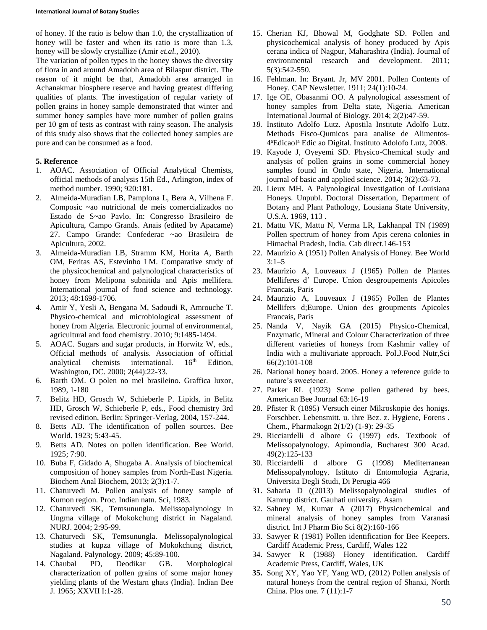#### **International Journal of Botany Studies**

of honey. If the ratio is below than 1.0, the crystallization of honey will be faster and when its ratio is more than 1.3, honey will be slowly crystallize (Amir *et.al.*, 2010).

The variation of pollen types in the honey shows the diversity of flora in and around Amadobh area of Bilaspur district. The reason of it might be that, Amadobh area arranged in Achanakmar biosphere reserve and having greatest differing qualities of plants. The investigation of regular variety of pollen grains in honey sample demonstrated that winter and summer honey samples have more number of pollen grains per 10 gm of tests as contrast with rainy season. The analysis of this study also shows that the collected honey samples are pure and can be consumed as a food.

### **5. Reference**

- 1. AOAC. Association of Official Analytical Chemists, official methods of analysis 15th Ed., Arlington, index of method number. 1990; 920:181.
- 2. Almeida-Muradian LB, Pamplona L, Bera A, Vilhena F. Composic ~ao nutricional de meis comercializados no Estado de S~ao Pavlo. In: Congresso Brasileiro de Apicultura, Campo Grands. Anais (edited by Apacame) 27. Campo Grande: Confederac ~ao Brasileira de Apicultura, 2002.
- 3. Almeida-Muradian LB, Stramm KM, Horita A, Barth OM, Feritas AS, Estevinho LM. Comparative study of the physicochemical and palynological characteristics of honey from Melipona subnitida and Apis mellifera. International journal of food science and technology. 2013; 48:1698-1706.
- 4. Amir Y, Yesli A, Bengana M, Sadoudi R, Amrouche T. Physico-chemical and microbiological assessment of honey from Algeria. Electronic journal of environmental, agricultural and food chemistry. 2010; 9:1485-1494.
- 5. AOAC. Sugars and sugar products, in Horwitz W, eds., Official methods of analysis. Association of official analytical chemists international.  $16<sup>th</sup>$  Edition, analytical chemists international. Washington, DC. 2000; 2(44):22-33.
- 6. Barth OM. O polen no mel brasileino. Graffica luxor, 1989, 1-180
- 7. Belitz HD, Grosch W, Schieberle P. Lipids, in Belitz HD, Grosch W, Schieberle P, eds., Food chemistry 3rd revised edition, Berlin: Springer-Verlag, 2004, 157-244.
- 8. Betts AD. The identification of pollen sources. Bee World. 1923; 5:43-45.
- 9. Betts AD. Notes on pollen identification. Bee World. 1925; 7:90.
- 10. Buba F, Gidado A, Shugaba A. Analysis of biochemical composition of honey samples from North-East Nigeria. Biochem Anal Biochem, 2013; 2(3):1-7.
- 11. Chaturvedi M. Pollen analysis of honey sample of Kumon region. Proc. Indian natn. Sci, 1983.
- 12. Chaturvedi SK, Temsunungla. Melissopalynology in Ungma village of Mokokchung district in Nagaland. NURJ. 2004; 2:95-99.
- 13. Chaturvedi SK, Temsunungla. Melissopalynological studies at kupza village of Mokokchung district, Nagaland. Palynology. 2009; 45:89-100.
- 14. Chaubal PD, Deodikar GB. Morphological characterization of pollen grains of some major honey yielding plants of the Westarn ghats (India). Indian Bee J*.* 1965; XXVII I:1-28.
- 15. Cherian KJ, Bhowal M, Godghate SD. Pollen and physicochemical analysis of honey produced by Apis cerana indica of Nagpur, Maharashtra (India). Journal of environmental research and development. 2011; 5(3):542-550.
- 16. Fehlman. In: Bryant. Jr, MV 2001. Pollen Contents of Honey. CAP Newsletter. 1911; 24(1):10-24.
- 17. Ige OE, Obasanmi OO. A palynological assessment of honey samples from Delta state, Nigeria. American International Journal of Biology. 2014; 2(2):47-59.
- *18.* Instituto Adolfo Lutz. Apostila Institute Adolfo Lutz. Methods Fisco-Qumicos para analise de Alimentos-4 <sup>a</sup>Edicaol<sup>a</sup> Edic ao Digital. Instituto Adolofo Lutz, 2008.
- 19. Kayode J, Oyeyemi SD. Physico-Chemical study and analysis of pollen grains in some commercial honey samples found in Ondo state, Nigeria. International journal of basic and applied science. 2014; 3(2):63-73.
- 20. Lieux MH. A Palynological Investigation of Louisiana Honeys. Unpubl. Doctoral Dissertation, Department of Botany and Plant Pathology, Lousiana State University, U.S.A. 1969, 113 .
- 21. Mattu VK, Mattu N, Verma LR, Lakhanpal TN (1989) Pollen spectrum of honey from Apis cerena colonies in Himachal Pradesh, India. Cab direct.146-153
- 22. Maurizio A (1951) Pollen Analysis of Honey. Bee World  $3:1-5$
- 23. Maurizio A, Louveaux J (1965) Pollen de Plantes Melliferes d' Europe. Union desgroupements Apicoles Francais, Paris
- 24. Maurizio A, Louveaux J (1965) Pollen de Plantes Mellifers d;Europe. Union des groupments Apicoles Francais, Paris
- 25. Nanda V, Nayik GA (2015) Physico-Chemical, Enzymatic, Mineral and Colour Characterization of three different varieties of honeys from Kashmir valley of India with a multivariate approach. Pol.J.Food Nutr,Sci 66(2):101-108
- 26. National honey board. 2005. Honey a reference guide to nature's sweetener.
- 27. Parker RL (1923) Some pollen gathered by bees. American Bee Journal 63:16-19
- 28. Pfister R (1895) Versuch einer Mikroskopie des honigs. Forschber. Lebensmitt. u. ihre Bez. z. Hygiene, Forens . Chem., Pharmakogn 2(1/2) (1-9): 29-35
- 29. Ricciardelli d albore G (1997) eds. Textbook of Melissopalynology. Apimondia, Bucharest 300 Acad. 49(2):125-133
- 30. Ricciardelli d albore G (1998) Mediterranean Melissopalynology. Istituto di Entomologia Agraria, Universita Degli Studi, Di Perugia 466
- 31. Saharia D ((2013) Melissopalynological studies of Kamrup district. Gauhati university. Asam
- 32. Sahney M, Kumar A (2017) Physicochemical and mineral analysis of honey samples from Varanasi district. Int J Pharm Bio Sci 8(2):160-166
- 33. Sawyer R (1981) Pollen identification for Bee Keepers. Cardiff Academic Press, Cardiff, Wales 122
- 34. Sawyer R (1988) Honey identification. Cardiff Academic Press, Cardiff, Wales, UK
- **35.** Song XY, Yao YF, Yang WD, (2012) Pollen analysis of natural honeys from the central region of Shanxi, North China. Plos one. 7 (11):1-7